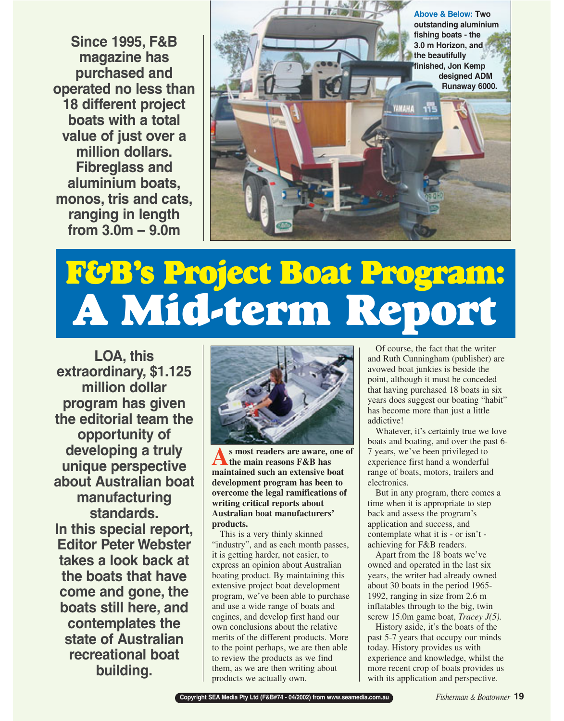**Since 1995, F&B magazine has purchased and operated no less than 18 different project boats with a total value of just over a million dollars. Fibreglass and aluminium boats, monos, tris and cats, ranging in length from 3.0m – 9.0m**



# **F&B's Project Boat Program: A Mid-term Report**

**LOA, this extraordinary, \$1.125 million dollar program has given the editorial team the opportunity of developing a truly unique perspective about Australian boat manufacturing standards. In this special report, Editor Peter Webster takes a look back at the boats that have come and gone, the boats still here, and contemplates the state of Australian recreational boat building.**



**As most readers are aware, one of the main reasons F&B has maintained such an extensive boat development program has been to overcome the legal ramifications of writing critical reports about Australian boat manufacturers' products.**

This is a very thinly skinned "industry", and as each month passes, it is getting harder, not easier, to express an opinion about Australian boating product. By maintaining this extensive project boat development program, we've been able to purchase and use a wide range of boats and engines, and develop first hand our own conclusions about the relative merits of the different products. More to the point perhaps, we are then able to review the products as we find them, as we are then writing about products we actually own.

Of course, the fact that the writer and Ruth Cunningham (publisher) are avowed boat junkies is beside the point, although it must be conceded that having purchased 18 boats in six years does suggest our boating "habit" has become more than just a little addictive!

Whatever, it's certainly true we love boats and boating, and over the past 6- 7 years, we've been privileged to experience first hand a wonderful range of boats, motors, trailers and electronics.

But in any program, there comes a time when it is appropriate to step back and assess the program's application and success, and contemplate what it is - or isn't achieving for F&B readers.

Apart from the 18 boats we've owned and operated in the last six years, the writer had already owned about 30 boats in the period 1965- 1992, ranging in size from 2.6 m inflatables through to the big, twin screw 15.0m game boat, *Tracey J(5).* 

History aside, it's the boats of the past 5-7 years that occupy our minds today. History provides us with experience and knowledge, whilst the more recent crop of boats provides us with its application and perspective.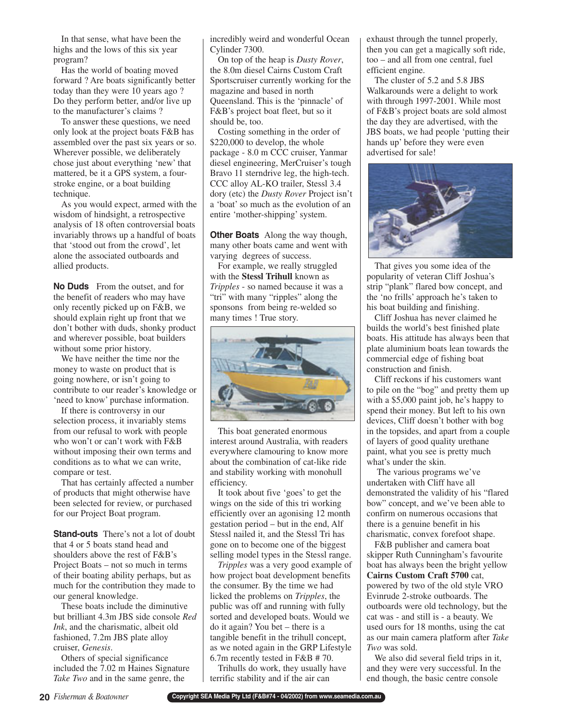In that sense, what have been the highs and the lows of this six year program?

Has the world of boating moved forward ? Are boats significantly better today than they were 10 years ago ? Do they perform better, and/or live up to the manufacturer's claims ?

To answer these questions, we need only look at the project boats F&B has assembled over the past six years or so. Wherever possible, we deliberately chose just about everything 'new' that mattered, be it a GPS system, a fourstroke engine, or a boat building technique.

As you would expect, armed with the wisdom of hindsight, a retrospective analysis of 18 often controversial boats invariably throws up a handful of boats that 'stood out from the crowd', let alone the associated outboards and allied products.

**No Duds** From the outset, and for the benefit of readers who may have only recently picked up on F&B, we should explain right up front that we don't bother with duds, shonky product and wherever possible, boat builders without some prior history.

We have neither the time nor the money to waste on product that is going nowhere, or isn't going to contribute to our reader's knowledge or 'need to know' purchase information.

If there is controversy in our selection process, it invariably stems from our refusal to work with people who won't or can't work with F&B without imposing their own terms and conditions as to what we can write, compare or test.

That has certainly affected a number of products that might otherwise have been selected for review, or purchased for our Project Boat program.

**Stand-outs** There's not a lot of doubt that 4 or 5 boats stand head and shoulders above the rest of F&B's Project Boats – not so much in terms of their boating ability perhaps, but as much for the contribution they made to our general knowledge.

These boats include the diminutive but brilliant 4.3m JBS side console *Red Ink*, and the charismatic, albeit old fashioned, 7.2m JBS plate alloy cruiser, *Genesis*.

Others of special significance included the 7.02 m Haines Signature *Take Two* and in the same genre, the

incredibly weird and wonderful Ocean Cylinder 7300.

On top of the heap is *Dusty Rover*, the 8.0m diesel Cairns Custom Craft Sportscruiser currently working for the magazine and based in north Queensland. This is the 'pinnacle' of F&B's project boat fleet, but so it should be, too.

Costing something in the order of \$220,000 to develop, the whole package - 8.0 m CCC cruiser, Yanmar diesel engineering, MerCruiser's tough Bravo 11 sterndrive leg, the high-tech. CCC alloy AL-KO trailer, Stessl 3.4 dory (etc) the *Dusty Rover* Project isn't a 'boat' so much as the evolution of an entire 'mother-shipping' system.

**Other Boats** Along the way though, many other boats came and went with varying degrees of success.

For example, we really struggled with the **Stessl Trihull** known as *Tripples* - so named because it was a "tri" with many "ripples" along the sponsons from being re-welded so many times ! True story.



This boat generated enormous interest around Australia, with readers everywhere clamouring to know more about the combination of cat-like ride and stability working with monohull efficiency.

It took about five 'goes' to get the wings on the side of this tri working efficiently over an agonising 12 month gestation period – but in the end, Alf Stessl nailed it, and the Stessl Tri has gone on to become one of the biggest selling model types in the Stessl range.

*Tripples* was a very good example of how project boat development benefits the consumer. By the time we had licked the problems on *Tripples*, the public was off and running with fully sorted and developed boats. Would we do it again? You bet – there is a tangible benefit in the trihull concept, as we noted again in the GRP Lifestyle 6.7m recently tested in F&B # 70.

Trihulls do work, they usually have terrific stability and if the air can

exhaust through the tunnel properly, then you can get a magically soft ride, too – and all from one central, fuel efficient engine.

The cluster of 5.2 and 5.8 JBS Walkarounds were a delight to work with through 1997-2001. While most of F&B's project boats are sold almost the day they are advertised, with the JBS boats, we had people 'putting their hands up' before they were even advertised for sale!



That gives you some idea of the popularity of veteran Cliff Joshua's strip "plank" flared bow concept, and the 'no frills' approach he's taken to his boat building and finishing.

Cliff Joshua has never claimed he builds the world's best finished plate boats. His attitude has always been that plate aluminium boats lean towards the commercial edge of fishing boat construction and finish.

Cliff reckons if his customers want to pile on the "bog" and pretty them up with a \$5,000 paint job, he's happy to spend their money. But left to his own devices, Cliff doesn't bother with bog in the topsides, and apart from a couple of layers of good quality urethane paint, what you see is pretty much what's under the skin.

The various programs we've undertaken with Cliff have all demonstrated the validity of his "flared bow" concept, and we've been able to confirm on numerous occasions that there is a genuine benefit in his charismatic, convex forefoot shape.

F&B publisher and camera boat skipper Ruth Cunningham's favourite boat has always been the bright yellow **Cairns Custom Craft 5700** cat, powered by two of the old style VRO Evinrude 2-stroke outboards. The outboards were old technology, but the cat was - and still is - a beauty. We used ours for 18 months, using the cat as our main camera platform after *Take Two* was sold.

We also did several field trips in it, and they were very successful. In the end though, the basic centre console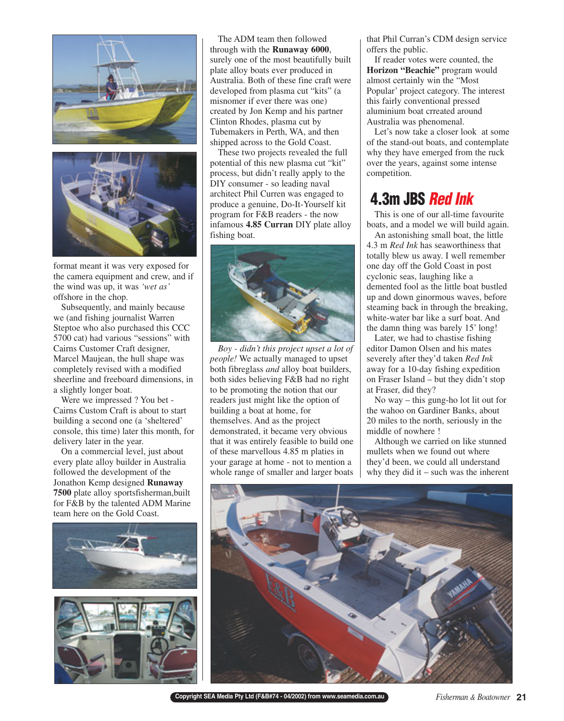



format meant it was very exposed for the camera equipment and crew, and if the wind was up, it was *'wet as'* offshore in the chop.

Subsequently, and mainly because we (and fishing journalist Warren Steptoe who also purchased this CCC 5700 cat) had various "sessions" with Cairns Customer Craft designer, Marcel Maujean, the hull shape was completely revised with a modified sheerline and freeboard dimensions, in a slightly longer boat.

Were we impressed ? You bet - Cairns Custom Craft is about to start building a second one (a 'sheltered' console, this time) later this month, for delivery later in the year.

On a commercial level, just about every plate alloy builder in Australia followed the development of the Jonathon Kemp designed **Runaway 7500** plate alloy sportsfisherman,built for F&B by the talented ADM Marine team here on the Gold Coast.





The ADM team then followed through with the **Runaway 6000**, surely one of the most beautifully built plate alloy boats ever produced in Australia. Both of these fine craft were developed from plasma cut "kits" (a misnomer if ever there was one) created by Jon Kemp and his partner Clinton Rhodes, plasma cut by Tubemakers in Perth, WA, and then shipped across to the Gold Coast.

These two projects revealed the full potential of this new plasma cut "kit" process, but didn't really apply to the DIY consumer - so leading naval architect Phil Curren was engaged to produce a genuine, Do-It-Yourself kit program for F&B readers - the now infamous **4.85 Curran** DIY plate alloy fishing boat.



*Boy - didn't this project upset a lot of people!* We actually managed to upset both fibreglass *and* alloy boat builders, both sides believing F&B had no right to be promoting the notion that our readers just might like the option of building a boat at home, for themselves. And as the project demonstrated, it became very obvious that it was entirely feasible to build one of these marvellous 4.85 m platies in your garage at home - not to mention a whole range of smaller and larger boats that Phil Curran's CDM design service offers the public.

If reader votes were counted, the **Horizon "Beachie"** program would almost certainly win the "Most Popular' project category. The interest this fairly conventional pressed aluminium boat crreated around Australia was phenomenal.

Let's now take a closer look at some of the stand-out boats, and contemplate why they have emerged from the ruck over the years, against some intense competition.

#### **4.3m JBS Red Ink**

This is one of our all-time favourite boats, and a model we will build again.

An astonishing small boat, the little 4.3 m *Red Ink* has seaworthiness that totally blew us away. I well remember one day off the Gold Coast in post cyclonic seas, laughing like a demented fool as the little boat bustled up and down ginormous waves, before steaming back in through the breaking, white-water bar like a surf boat. And the damn thing was barely 15' long!

Later, we had to chastise fishing editor Damon Olsen and his mates severely after they'd taken *Red Ink* away for a 10-day fishing expedition on Fraser Island – but they didn't stop at Fraser, did they?

No way – this gung-ho lot lit out for the wahoo on Gardiner Banks, about 20 miles to the north, seriously in the middle of nowhere !

Although we carried on like stunned mullets when we found out where they'd been, we could all understand why they did it – such was the inherent



**Copyright SEA Media Pty Ltd (F&B#74 - 04/2002) from www.seamedia.com.au** *Fisherman & Boatowner* **21**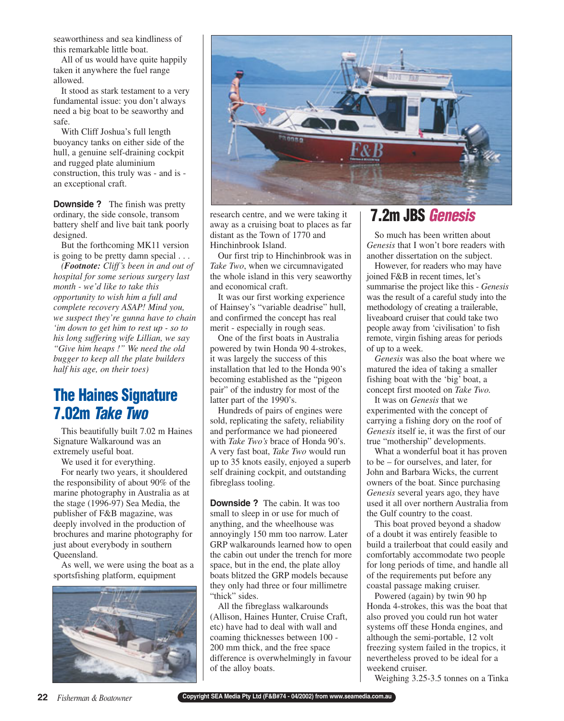seaworthiness and sea kindliness of this remarkable little boat.

All of us would have quite happily taken it anywhere the fuel range allowed.

It stood as stark testament to a very fundamental issue: you don't always need a big boat to be seaworthy and safe.

With Cliff Joshua's full length buoyancy tanks on either side of the hull, a genuine self-draining cockpit and rugged plate aluminium construction, this truly was - and is an exceptional craft.

**Downside ?** The finish was pretty ordinary, the side console, transom battery shelf and live bait tank poorly designed.

But the forthcoming MK11 version is going to be pretty damn special . . .

*(Footnote: Cliff's been in and out of hospital for some serious surgery last month - we'd like to take this opportunity to wish him a full and complete recovery ASAP! Mind you, we suspect they're gunna have to chain 'im down to get him to rest up - so to his long suffering wife Lillian, we say "Give him heaps !" We need the old bugger to keep all the plate builders half his age, on their toes)*

## **The Haines Signature 7.02m Take Two**

This beautifully built 7.02 m Haines Signature Walkaround was an extremely useful boat.

We used it for everything.

For nearly two years, it shouldered the responsibility of about 90% of the marine photography in Australia as at the stage (1996-97) Sea Media, the publisher of F&B magazine, was deeply involved in the production of brochures and marine photography for just about everybody in southern Queensland.

As well, we were using the boat as a sportsfishing platform, equipment





research centre, and we were taking it away as a cruising boat to places as far distant as the Town of 1770 and Hinchinbrook Island.

Our first trip to Hinchinbrook was in *Take Two*, when we circumnavigated the whole island in this very seaworthy and economical craft.

It was our first working experience of Hainsey's "variable deadrise" hull, and confirmed the concept has real merit - especially in rough seas.

One of the first boats in Australia powered by twin Honda 90 4-strokes, it was largely the success of this installation that led to the Honda 90's becoming established as the "pigeon pair" of the industry for most of the latter part of the 1990's.

Hundreds of pairs of engines were sold, replicating the safety, reliability and performance we had pioneered with *Take Two's* brace of Honda 90's. A very fast boat, *Take Two* would run up to 35 knots easily, enjoyed a superb self draining cockpit, and outstanding fibreglass tooling.

**Downside ?** The cabin. It was too small to sleep in or use for much of anything, and the wheelhouse was annoyingly 150 mm too narrow. Later GRP walkarounds learned how to open the cabin out under the trench for more space, but in the end, the plate alloy boats blitzed the GRP models because they only had three or four millimetre "thick" sides.

All the fibreglass walkarounds (Allison, Haines Hunter, Cruise Craft, etc) have had to deal with wall and coaming thicknesses between 100 - 200 mm thick, and the free space difference is overwhelmingly in favour of the alloy boats.

## **7.2m JBS Genesis**

So much has been written about *Genesis* that I won't bore readers with another dissertation on the subject.

However, for readers who may have joined F&B in recent times, let's summarise the project like this - *Genesis* was the result of a careful study into the methodology of creating a trailerable, liveaboard cruiser that could take two people away from 'civilisation' to fish remote, virgin fishing areas for periods of up to a week.

*Genesis* was also the boat where we matured the idea of taking a smaller fishing boat with the 'big' boat, a concept first mooted on *Take Two.*

It was on *Genesis* that we experimented with the concept of carrying a fishing dory on the roof of *Genesis* itself ie, it was the first of our true "mothership" developments.

What a wonderful boat it has proven to be – for ourselves, and later, for John and Barbara Wicks, the current owners of the boat. Since purchasing *Genesis* several years ago, they have used it all over northern Australia from the Gulf country to the coast.

This boat proved beyond a shadow of a doubt it was entirely feasible to build a trailerboat that could easily and comfortably accommodate two people for long periods of time, and handle all of the requirements put before any coastal passage making cruiser.

Powered (again) by twin 90 hp Honda 4-strokes, this was the boat that also proved you could run hot water systems off these Honda engines, and although the semi-portable, 12 volt freezing system failed in the tropics, it nevertheless proved to be ideal for a weekend cruiser.

Weighing 3.25-3.5 tonnes on a Tinka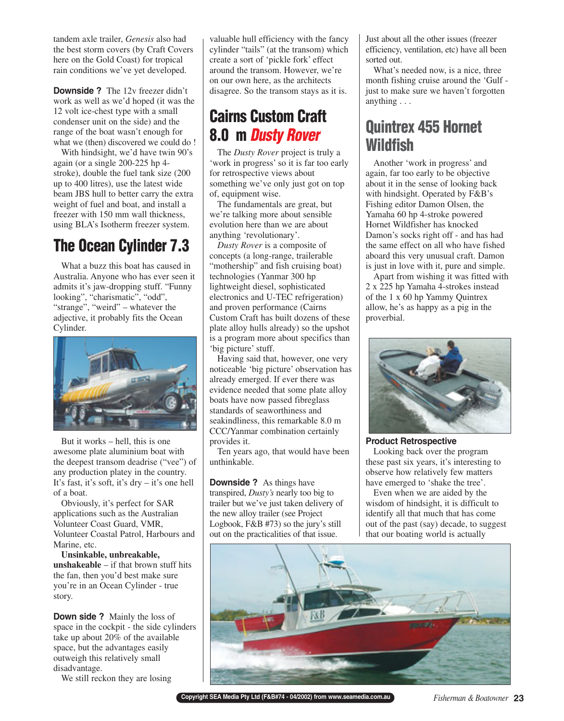tandem axle trailer, *Genesis* also had the best storm covers (by Craft Covers here on the Gold Coast) for tropical rain conditions we've yet developed.

**Downside ?** The 12v freezer didn't work as well as we'd hoped (it was the 12 volt ice-chest type with a small condenser unit on the side) and the range of the boat wasn't enough for what we (then) discovered we could do !

With hindsight, we'd have twin 90's again (or a single 200-225 hp 4 stroke), double the fuel tank size (200 up to 400 litres), use the latest wide beam JBS hull to better carry the extra weight of fuel and boat, and install a freezer with 150 mm wall thickness, using BLA's Isotherm freezer system.

## **The Ocean Cylinder 7.3**

What a buzz this boat has caused in Australia. Anyone who has ever seen it admits it's jaw-dropping stuff. "Funny looking", "charismatic", "odd", "strange", "weird" – whatever the adjective, it probably fits the Ocean Cylinder.



But it works – hell, this is one awesome plate aluminium boat with the deepest transom deadrise ("vee") of any production platey in the country. It's fast, it's soft, it's dry – it's one hell of a boat.

Obviously, it's perfect for SAR applications such as the Australian Volunteer Coast Guard, VMR, Volunteer Coastal Patrol, Harbours and Marine, etc.

**Unsinkable, unbreakable, unshakeable** – if that brown stuff hits the fan, then you'd best make sure you're in an Ocean Cylinder - true story.

**Down side ?** Mainly the loss of space in the cockpit - the side cylinders take up about 20% of the available space, but the advantages easily outweigh this relatively small disadvantage.

We still reckon they are losing

valuable hull efficiency with the fancy cylinder "tails" (at the transom) which create a sort of 'pickle fork' effect around the transom. However, we're on our own here, as the architects disagree. So the transom stays as it is.

### **Cairns Custom Craft 8.0 m Dusty Rover**

The *Dusty Rover* project is truly a 'work in progress' so it is far too early for retrospective views about something we've only just got on top of, equipment wise.

The fundamentals are great, but we're talking more about sensible evolution here than we are about anything 'revolutionary'.

*Dusty Rover* is a composite of concepts (a long-range, trailerable "mothership" and fish cruising boat) technologies (Yanmar 300 hp lightweight diesel, sophisticated electronics and U-TEC refrigeration) and proven performance (Cairns Custom Craft has built dozens of these plate alloy hulls already) so the upshot is a program more about specifics than 'big picture' stuff.

Having said that, however, one very noticeable 'big picture' observation has already emerged. If ever there was evidence needed that some plate alloy boats have now passed fibreglass standards of seaworthiness and seakindliness, this remarkable 8.0 m CCC/Yanmar combination certainly provides it.

Ten years ago, that would have been unthinkable.

**Downside ?** As things have transpired, *Dusty's* nearly too big to trailer but we've just taken delivery of the new alloy trailer (see Project Logbook, F&B #73) so the jury's still out on the practicalities of that issue.

Just about all the other issues (freezer efficiency, ventilation, etc) have all been sorted out.

What's needed now, is a nice, three month fishing cruise around the 'Gulf just to make sure we haven't forgotten anything . . .

## **Quintrex 455 Hornet Wildfish**

Another 'work in progress' and again, far too early to be objective about it in the sense of looking back with hindsight. Operated by F&B's Fishing editor Damon Olsen, the Yamaha 60 hp 4-stroke powered Hornet Wildfisher has knocked Damon's socks right off - and has had the same effect on all who have fished aboard this very unusual craft. Damon is just in love with it, pure and simple.

Apart from wishing it was fitted with 2 x 225 hp Yamaha 4-strokes instead of the 1 x 60 hp Yammy Quintrex allow, he's as happy as a pig in the proverbial.



#### **Product Retrospective**

Looking back over the program these past six years, it's interesting to observe how relatively few matters have emerged to 'shake the tree'.

Even when we are aided by the wisdom of hindsight, it is difficult to identify all that much that has come out of the past (say) decade, to suggest that our boating world is actually



**Copyright SEA Media Pty Ltd (F&B#74 - 04/2002) from www.seamedia.com.au** *Fisherman & Boatowner* **23**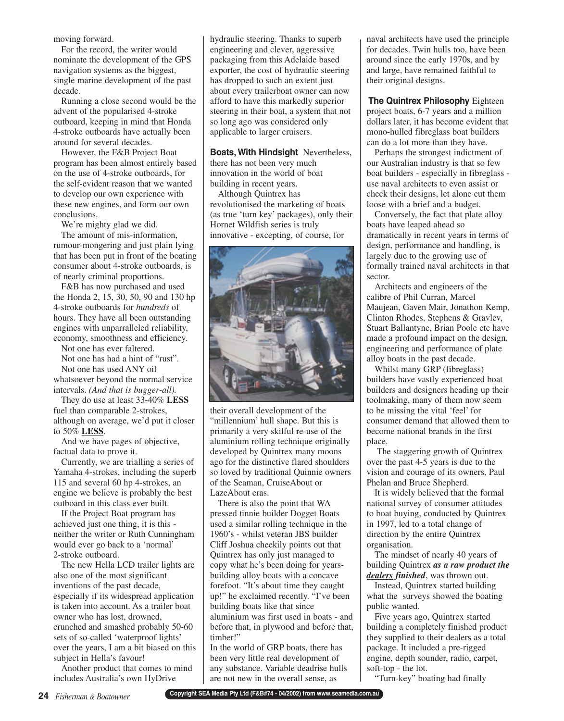moving forward.

For the record, the writer would nominate the development of the GPS navigation systems as the biggest, single marine development of the past decade.

Running a close second would be the advent of the popularised 4-stroke outboard, keeping in mind that Honda 4-stroke outboards have actually been around for several decades.

However, the F&B Project Boat program has been almost entirely based on the use of 4-stroke outboards, for the self-evident reason that we wanted to develop our own experience with these new engines, and form our own conclusions.

We're mighty glad we did.

The amount of mis-information, rumour-mongering and just plain lying that has been put in front of the boating consumer about 4-stroke outboards, is of nearly criminal proportions.

F&B has now purchased and used the Honda 2, 15, 30, 50, 90 and 130 hp 4-stroke outboards for *hundreds* of hours. They have all been outstanding engines with unparralleled reliability, economy, smoothness and efficiency.

Not one has ever faltered.

Not one has had a hint of "rust". Not one has used ANY oil

whatsoever beyond the normal service intervals. *(And that is bugger-all).*

They do use at least 33-40% **LESS** fuel than comparable 2-strokes, although on average, we'd put it closer to 50% **LESS**.

And we have pages of objective, factual data to prove it.

Currently, we are trialling a series of Yamaha 4-strokes, including the superb 115 and several 60 hp 4-strokes, an engine we believe is probably the best outboard in this class ever built.

If the Project Boat program has achieved just one thing, it is this neither the writer or Ruth Cunningham would ever go back to a 'normal' 2-stroke outboard.

The new Hella LCD trailer lights are also one of the most significant inventions of the past decade, especially if its widespread application is taken into account. As a trailer boat owner who has lost, drowned, crunched and smashed probably 50-60 sets of so-called 'waterproof lights' over the years, I am a bit biased on this subject in Hella's favour!

Another product that comes to mind includes Australia's own HyDrive

hydraulic steering. Thanks to superb engineering and clever, aggressive packaging from this Adelaide based exporter, the cost of hydraulic steering has dropped to such an extent just about every trailerboat owner can now afford to have this markedly superior steering in their boat, a system that not so long ago was considered only applicable to larger cruisers.

**Boats, With Hindsight** Nevertheless, there has not been very much innovation in the world of boat building in recent years.

Although Quintrex has revolutionised the marketing of boats (as true 'turn key' packages), only their Hornet Wildfish series is truly innovative - excepting, of course, for



their overall development of the "millennium' hull shape. But this is primarily a very skilful re-use of the aluminium rolling technique originally developed by Quintrex many moons ago for the distinctive flared shoulders so loved by traditional Quinnie owners of the Seaman, CruiseAbout or LazeAbout eras.

There is also the point that WA pressed tinnie builder Dogget Boats used a similar rolling technique in the 1960's - whilst veteran JBS builder Cliff Joshua cheekily points out that Quintrex has only just managed to copy what he's been doing for yearsbuilding alloy boats with a concave forefoot. "It's about time they caught up!" he exclaimed recently. "I've been building boats like that since aluminium was first used in boats - and before that, in plywood and before that, timber!"

In the world of GRP boats, there has been very little real development of any substance. Variable deadrise hulls are not new in the overall sense, as

naval architects have used the principle for decades. Twin hulls too, have been around since the early 1970s, and by and large, have remained faithful to their original designs.

**The Quintrex Philosophy** Eighteen project boats, 6-7 years and a million dollars later, it has become evident that mono-hulled fibreglass boat builders can do a lot more than they have.

Perhaps the strongest indictment of our Australian industry is that so few boat builders - especially in fibreglass use naval architects to even assist or check their designs, let alone cut them loose with a brief and a budget.

Conversely, the fact that plate alloy boats have leaped ahead so dramatically in recent years in terms of design, performance and handling, is largely due to the growing use of formally trained naval architects in that sector.

Architects and engineers of the calibre of Phil Curran, Marcel Maujean, Gaven Mair, Jonathon Kemp, Clinton Rhodes, Stephens & Gravlev, Stuart Ballantyne, Brian Poole etc have made a profound impact on the design, engineering and performance of plate alloy boats in the past decade.

Whilst many GRP (fibreglass) builders have vastly experienced boat builders and designers heading up their toolmaking, many of them now seem to be missing the vital 'feel' for consumer demand that allowed them to become national brands in the first place.

The staggering growth of Quintrex over the past 4-5 years is due to the vision and courage of its owners, Paul Phelan and Bruce Shepherd.

It is widely believed that the formal national survey of consumer attitudes to boat buying, conducted by Quintrex in 1997, led to a total change of direction by the entire Quintrex organisation.

The mindset of nearly 40 years of building Quintrex *as a raw product the dealers finished*, was thrown out.

Instead, Quintrex started building what the surveys showed the boating public wanted.

Five years ago, Quintrex started building a completely finished product they supplied to their dealers as a total package. It included a pre-rigged engine, depth sounder, radio, carpet, soft-top - the lot.

"Turn-key" boating had finally